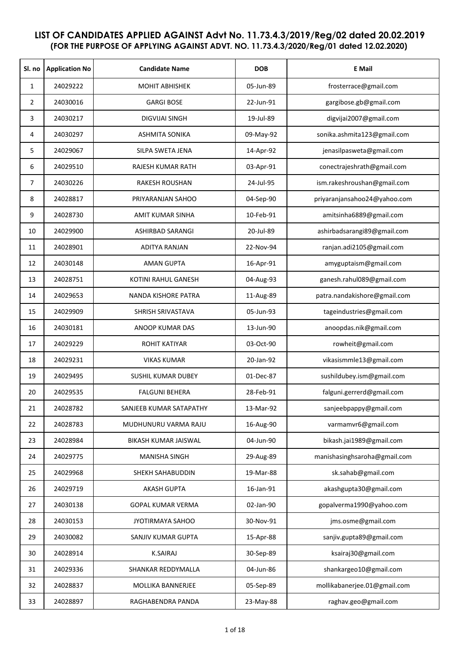## **LIST OF CANDIDATES APPLIED AGAINST Advt No. 11.73.4.3/2019/Reg/02 dated 20.02.2019 (FOR THE PURPOSE OF APPLYING AGAINST ADVT. NO. 11.73.4.3/2020/Reg/01 dated 12.02.2020)**

| Sl. no | <b>Application No</b> | <b>Candidate Name</b>      | <b>DOB</b> | <b>E</b> Mail                |
|--------|-----------------------|----------------------------|------------|------------------------------|
| 1      | 24029222              | <b>MOHIT ABHISHEK</b>      | 05-Jun-89  | frosterrace@gmail.com        |
| 2      | 24030016              | <b>GARGI BOSE</b>          | 22-Jun-91  | gargibose.gb@gmail.com       |
| 3      | 24030217              | DIGVIJAI SINGH             | 19-Jul-89  | digvijai2007@gmail.com       |
| 4      | 24030297              | <b>ASHMITA SONIKA</b>      | 09-May-92  | sonika.ashmita123@gmail.com  |
| 5      | 24029067              | SILPA SWETA JENA           | 14-Apr-92  | jenasilpasweta@gmail.com     |
| 6      | 24029510              | RAJESH KUMAR RATH          | 03-Apr-91  | conectrajeshrath@gmail.com   |
| 7      | 24030226              | RAKESH ROUSHAN             | 24-Jul-95  | ism.rakeshroushan@gmail.com  |
| 8      | 24028817              | PRIYARANJAN SAHOO          | 04-Sep-90  | priyaranjansahoo24@yahoo.com |
| 9      | 24028730              | <b>AMIT KUMAR SINHA</b>    | 10-Feb-91  | amitsinha6889@gmail.com      |
| 10     | 24029900              | ASHIRBAD SARANGI           | 20-Jul-89  | ashirbadsarangi89@gmail.com  |
| 11     | 24028901              | <b>ADITYA RANJAN</b>       | 22-Nov-94  | ranjan.adi2105@gmail.com     |
| 12     | 24030148              | <b>AMAN GUPTA</b>          | 16-Apr-91  | amyguptaism@gmail.com        |
| 13     | 24028751              | <b>KOTINI RAHUL GANESH</b> | 04-Aug-93  | ganesh.rahul089@gmail.com    |
| 14     | 24029653              | NANDA KISHORE PATRA        | 11-Aug-89  | patra.nandakishore@gmail.com |
| 15     | 24029909              | SHRISH SRIVASTAVA          | 05-Jun-93  | tageindustries@gmail.com     |
| 16     | 24030181              | ANOOP KUMAR DAS            | 13-Jun-90  | anoopdas.nik@gmail.com       |
| 17     | 24029229              | <b>ROHIT KATIYAR</b>       | 03-Oct-90  | rowheit@gmail.com            |
| 18     | 24029231              | <b>VIKAS KUMAR</b>         | 20-Jan-92  | vikasismmle13@gmail.com      |
| 19     | 24029495              | <b>SUSHIL KUMAR DUBEY</b>  | 01-Dec-87  | sushildubey.ism@gmail.com    |
| 20     | 24029535              | <b>FALGUNI BEHERA</b>      | 28-Feb-91  | falguni.gerrerd@gmail.com    |
| 21     | 24028782              | SANJEEB KUMAR SATAPATHY    | 13-Mar-92  | sanjeebpappy@gmail.com       |
| 22     | 24028783              | MUDHUNURU VARMA RAJU       | 16-Aug-90  | varmamvr6@gmail.com          |
| 23     | 24028984              | BIKASH KUMAR JAISWAL       | 04-Jun-90  | bikash.jai1989@gmail.com     |
| 24     | 24029775              | MANISHA SINGH              | 29-Aug-89  | manishasinghsaroha@gmail.com |
| 25     | 24029968              | <b>SHEKH SAHABUDDIN</b>    | 19-Mar-88  | sk.sahab@gmail.com           |
| 26     | 24029719              | <b>AKASH GUPTA</b>         | 16-Jan-91  | akashgupta30@gmail.com       |
| 27     | 24030138              | GOPAL KUMAR VERMA          | 02-Jan-90  | gopalverma1990@yahoo.com     |
| 28     | 24030153              | JYOTIRMAYA SAHOO           | 30-Nov-91  | jms.osme@gmail.com           |
| 29     | 24030082              | SANJIV KUMAR GUPTA         | 15-Apr-88  | sanjiv.gupta89@gmail.com     |
| 30     | 24028914              | <b>K.SAIRAJ</b>            | 30-Sep-89  | ksairaj30@gmail.com          |
| 31     | 24029336              | SHANKAR REDDYMALLA         | 04-Jun-86  | shankargeo10@gmail.com       |
| 32     | 24028837              | MOLLIKA BANNERJEE          | 05-Sep-89  | mollikabanerjee.01@gmail.com |
| 33     | 24028897              | RAGHABENDRA PANDA          | 23-May-88  | raghav.geo@gmail.com         |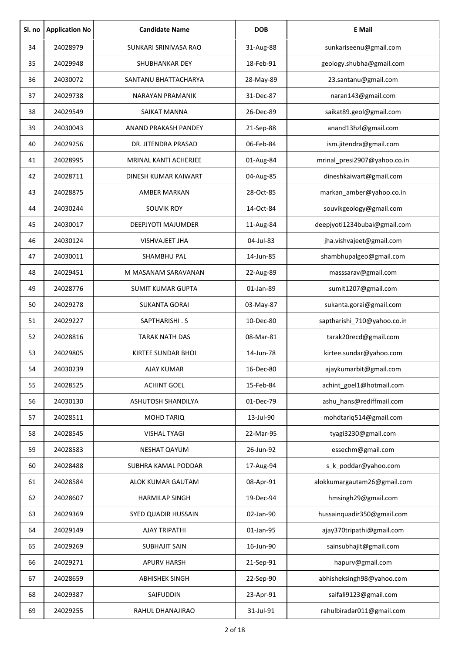| Sl. no | <b>Application No</b> | <b>Candidate Name</b>     | <b>DOB</b> | <b>E</b> Mail                |
|--------|-----------------------|---------------------------|------------|------------------------------|
| 34     | 24028979              | SUNKARI SRINIVASA RAO     | 31-Aug-88  | sunkariseenu@gmail.com       |
| 35     | 24029948              | <b>SHUBHANKAR DEY</b>     | 18-Feb-91  | geology.shubha@gmail.com     |
| 36     | 24030072              | SANTANU BHATTACHARYA      | 28-May-89  | 23.santanu@gmail.com         |
| 37     | 24029738              | <b>NARAYAN PRAMANIK</b>   | 31-Dec-87  | naran143@gmail.com           |
| 38     | 24029549              | SAIKAT MANNA              | 26-Dec-89  | saikat89.geol@gmail.com      |
| 39     | 24030043              | ANAND PRAKASH PANDEY      | 21-Sep-88  | anand13hzl@gmail.com         |
| 40     | 24029256              | DR. JITENDRA PRASAD       | 06-Feb-84  | ism.jitendra@gmail.com       |
| 41     | 24028995              | MRINAL KANTI ACHERJEE     | 01-Aug-84  | mrinal_presi2907@yahoo.co.in |
| 42     | 24028711              | DINESH KUMAR KAIWART      | 04-Aug-85  | dineshkaiwart@gmail.com      |
| 43     | 24028875              | <b>AMBER MARKAN</b>       | 28-Oct-85  | markan_amber@yahoo.co.in     |
| 44     | 24030244              | <b>SOUVIK ROY</b>         | 14-Oct-84  | souvikgeology@gmail.com      |
| 45     | 24030017              | <b>DEEPJYOTI MAJUMDER</b> | 11-Aug-84  | deepjyoti1234bubai@gmail.com |
| 46     | 24030124              | <b>VISHVAJEET JHA</b>     | 04-Jul-83  | jha.vishvajeet@gmail.com     |
| 47     | 24030011              | SHAMBHU PAL               | 14-Jun-85  | shambhupalgeo@gmail.com      |
| 48     | 24029451              | M MASANAM SARAVANAN       | 22-Aug-89  | masssarav@gmail.com          |
| 49     | 24028776              | <b>SUMIT KUMAR GUPTA</b>  | 01-Jan-89  | sumit1207@gmail.com          |
| 50     | 24029278              | <b>SUKANTA GORAI</b>      | 03-May-87  | sukanta.gorai@gmail.com      |
| 51     | 24029227              | SAPTHARISHI.S             | 10-Dec-80  | saptharishi 710@yahoo.co.in  |
| 52     | 24028816              | <b>TARAK NATH DAS</b>     | 08-Mar-81  | tarak20recd@gmail.com        |
| 53     | 24029805              | <b>KIRTEE SUNDAR BHOI</b> | 14-Jun-78  | kirtee.sundar@yahoo.com      |
| 54     | 24030239              | AJAY KUMAR                | 16-Dec-80  | ajaykumarbit@gmail.com       |
| 55     | 24028525              | <b>ACHINT GOEL</b>        | 15-Feb-84  | achint_goel1@hotmail.com     |
| 56     | 24030130              | ASHUTOSH SHANDILYA        | 01-Dec-79  | ashu hans@rediffmail.com     |
| 57     | 24028511              | <b>MOHD TARIQ</b>         | 13-Jul-90  | mohdtariq514@gmail.com       |
| 58     | 24028545              | <b>VISHAL TYAGI</b>       | 22-Mar-95  | tyagi3230@gmail.com          |
| 59     | 24028583              | NESHAT QAYUM              | 26-Jun-92  | essechm@gmail.com            |
| 60     | 24028488              | SUBHRA KAMAL PODDAR       | 17-Aug-94  | s_k_poddar@yahoo.com         |
| 61     | 24028584              | ALOK KUMAR GAUTAM         | 08-Apr-91  | alokkumargautam26@gmail.com  |
| 62     | 24028607              | <b>HARMILAP SINGH</b>     | 19-Dec-94  | hmsingh29@gmail.com          |
| 63     | 24029369              | SYED QUADIR HUSSAIN       | 02-Jan-90  | hussainquadir350@gmail.com   |
| 64     | 24029149              | AJAY TRIPATHI             | 01-Jan-95  | ajay370tripathi@gmail.com    |
| 65     | 24029269              | <b>SUBHAJIT SAIN</b>      | 16-Jun-90  | sainsubhajit@gmail.com       |
| 66     | 24029271              | <b>APURV HARSH</b>        | 21-Sep-91  | hapurv@gmail.com             |
| 67     | 24028659              | <b>ABHISHEK SINGH</b>     | 22-Sep-90  | abhisheksingh98@yahoo.com    |
| 68     | 24029387              | SAIFUDDIN                 | 23-Apr-91  | saifali9123@gmail.com        |
| 69     | 24029255              | RAHUL DHANAJIRAO          | 31-Jul-91  | rahulbiradar011@gmail.com    |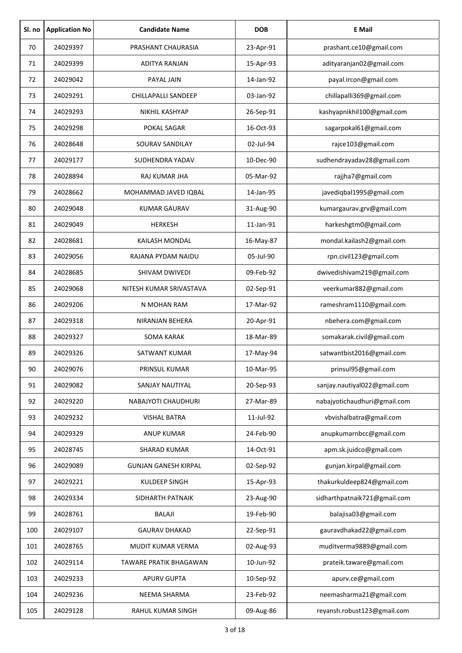| Sl. no | <b>Application No</b> | <b>Candidate Name</b>       | <b>DOB</b>      | <b>E</b> Mail                |
|--------|-----------------------|-----------------------------|-----------------|------------------------------|
| 70     | 24029397              | PRASHANT CHAURASIA          | 23-Apr-91       | prashant.ce10@gmail.com      |
| 71     | 24029399              | ADITYA RANJAN               | 15-Apr-93       | adityaranjan02@gmail.com     |
| 72     | 24029042              | PAYAL JAIN                  | 14-Jan-92       | payal.ircon@gmail.com        |
| 73     | 24029291              | CHILLAPALLI SANDEEP         | 03-Jan-92       | chillapalli369@gmail.com     |
| 74     | 24029293              | NIKHIL KASHYAP              | 26-Sep-91       | kashyapnikhil100@gmail.com   |
| 75     | 24029298              | POKAL SAGAR                 | 16-Oct-93       | sagarpokal61@gmail.com       |
| 76     | 24028648              | SOURAV SANDILAY             | 02-Jul-94       | rajce103@gmail.com           |
| 77     | 24029177              | SUDHENDRA YADAV             | 10-Dec-90       | sudhendrayadav28@gmail.com   |
| 78     | 24028894              | RAJ KUMAR JHA               | 05-Mar-92       | rajjha7@gmail.com            |
| 79     | 24028662              | MOHAMMAD JAVED IQBAL        | 14-Jan-95       | javediqbal1995@gmail.com     |
| 80     | 24029048              | <b>KUMAR GAURAV</b>         | 31-Aug-90       | kumargaurav.grv@gmail.com    |
| 81     | 24029049              | <b>HERKESH</b>              | $11$ -Jan- $91$ | harkeshgtm0@gmail.com        |
| 82     | 24028681              | KAILASH MONDAL              | 16-May-87       | mondal.kailash2@gmail.com    |
| 83     | 24029056              | RAJANA PYDAM NAIDU          | 05-Jul-90       | rpn.civil123@gmail.com       |
| 84     | 24028685              | SHIVAM DWIVEDI              | 09-Feb-92       | dwivedishivam219@gmail.com   |
| 85     | 24029068              | NITESH KUMAR SRIVASTAVA     | 02-Sep-91       | veerkumar882@gmail.com       |
| 86     | 24029206              | N MOHAN RAM                 | 17-Mar-92       | rameshram1110@gmail.com      |
| 87     | 24029318              | NIRANJAN BEHERA             | 20-Apr-91       | nbehera.com@gmail.com        |
| 88     | 24029327              | <b>SOMA KARAK</b>           | 18-Mar-89       | somakarak.civil@gmail.com    |
| 89     | 24029326              | SATWANT KUMAR               | 17-May-94       | satwantbist2016@gmail.com    |
| 90     | 24029076              | PRINSUL KUMAR               | 10-Mar-95       | prinsul95@gmail.com          |
| 91     | 24029082              | SANJAY NAUTIYAL             | 20-Sep-93       | sanjay.nautiyal022@gmail.com |
| 92     | 24029220              | NABAJYOTI CHAUDHURI         | 27-Mar-89       | nabajyotichaudhuri@gmail.com |
| 93     | 24029232              | <b>VISHAL BATRA</b>         | 11-Jul-92       | vbvishalbatra@gmail.com      |
| 94     | 24029329              | <b>ANUP KUMAR</b>           | 24-Feb-90       | anupkumarnbcc@gmail.com      |
| 95     | 24028745              | <b>SHARAD KUMAR</b>         | 14-Oct-91       | apm.sk.juidco@gmail.com      |
| 96     | 24029089              | <b>GUNJAN GANESH KIRPAL</b> | 02-Sep-92       | gunjan.kirpal@gmail.com      |
| 97     | 24029221              | KULDEEP SINGH               | 15-Apr-93       | thakurkuldeep824@gmail.com   |
| 98     | 24029334              | SIDHARTH PATNAIK            | 23-Aug-90       | sidharthpatnaik721@gmail.com |
| 99     | 24028761              | <b>BALAJI</b>               | 19-Feb-90       | balajisa03@gmail.com         |
| 100    | 24029107              | <b>GAURAV DHAKAD</b>        | 22-Sep-91       | gauravdhakad22@gmail.com     |
| 101    | 24028765              | MUDIT KUMAR VERMA           | 02-Aug-93       | muditverma9889@gmail.com     |
| 102    | 24029114              | TAWARE PRATIK BHAGAWAN      | 10-Jun-92       | prateik.taware@gmail.com     |
| 103    | 24029233              | <b>APURV GUPTA</b>          | 10-Sep-92       | apurv.ce@gmail.com           |
| 104    | 24029236              | NEEMA SHARMA                | 23-Feb-92       | neemasharma21@gmail.com      |
| 105    | 24029128              | RAHUL KUMAR SINGH           | 09-Aug-86       | reyansh.robust123@gmail.com  |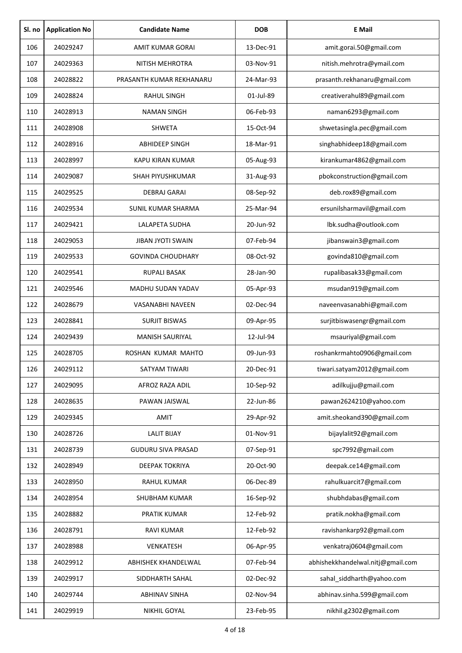| Sl. no | <b>Application No</b> | <b>Candidate Name</b>     | <b>DOB</b> | <b>E</b> Mail                     |
|--------|-----------------------|---------------------------|------------|-----------------------------------|
| 106    | 24029247              | <b>AMIT KUMAR GORAI</b>   | 13-Dec-91  | amit.gorai.50@gmail.com           |
| 107    | 24029363              | NITISH MEHROTRA           | 03-Nov-91  | nitish.mehrotra@ymail.com         |
| 108    | 24028822              | PRASANTH KUMAR REKHANARU  | 24-Mar-93  | prasanth.rekhanaru@gmail.com      |
| 109    | 24028824              | <b>RAHUL SINGH</b>        | 01-Jul-89  | creativerahul89@gmail.com         |
| 110    | 24028913              | <b>NAMAN SINGH</b>        | 06-Feb-93  | naman6293@gmail.com               |
| 111    | 24028908              | <b>SHWETA</b>             | 15-Oct-94  | shwetasingla.pec@gmail.com        |
| 112    | 24028916              | <b>ABHIDEEP SINGH</b>     | 18-Mar-91  | singhabhideep18@gmail.com         |
| 113    | 24028997              | <b>KAPU KIRAN KUMAR</b>   | 05-Aug-93  | kirankumar4862@gmail.com          |
| 114    | 24029087              | <b>SHAH PIYUSHKUMAR</b>   | 31-Aug-93  | pbokconstruction@gmail.com        |
| 115    | 24029525              | DEBRAJ GARAI              | 08-Sep-92  | deb.rox89@gmail.com               |
| 116    | 24029534              | <b>SUNIL KUMAR SHARMA</b> | 25-Mar-94  | ersunilsharmavil@gmail.com        |
| 117    | 24029421              | <b>LALAPETA SUDHA</b>     | 20-Jun-92  | lbk.sudha@outlook.com             |
| 118    | 24029053              | <b>JIBAN JYOTI SWAIN</b>  | 07-Feb-94  | jibanswain3@gmail.com             |
| 119    | 24029533              | <b>GOVINDA CHOUDHARY</b>  | 08-Oct-92  | govinda810@gmail.com              |
| 120    | 24029541              | <b>RUPALI BASAK</b>       | 28-Jan-90  | rupalibasak33@gmail.com           |
| 121    | 24029546              | MADHU SUDAN YADAV         | 05-Apr-93  | msudan919@gmail.com               |
| 122    | 24028679              | VASANABHI NAVEEN          | 02-Dec-94  | naveenvasanabhi@gmail.com         |
| 123    | 24028841              | <b>SURJIT BISWAS</b>      | 09-Apr-95  | surjitbiswasengr@gmail.com        |
| 124    | 24029439              | <b>MANISH SAURIYAL</b>    | 12-Jul-94  | msauriyal@gmail.com               |
| 125    | 24028705              | ROSHAN KUMAR MAHTO        | 09-Jun-93  | roshankrmahto0906@gmail.com       |
| 126    | 24029112              | SATYAM TIWARI             | 20-Dec-91  | tiwari.satyam2012@gmail.com       |
| 127    | 24029095              | AFROZ RAZA ADIL           | 10-Sep-92  | adilkujju@gmail.com               |
| 128    | 24028635              | PAWAN JAISWAL             | 22-Jun-86  | pawan2624210@yahoo.com            |
| 129    | 24029345              | AMIT                      | 29-Apr-92  | amit.sheokand390@gmail.com        |
| 130    | 24028726              | <b>LALIT BIJAY</b>        | 01-Nov-91  | bijaylalit92@gmail.com            |
| 131    | 24028739              | <b>GUDURU SIVA PRASAD</b> | 07-Sep-91  | spc7992@gmail.com                 |
| 132    | 24028949              | DEEPAK TOKRIYA            | 20-Oct-90  | deepak.ce14@gmail.com             |
| 133    | 24028950              | RAHUL KUMAR               | 06-Dec-89  | rahulkuarcit7@gmail.com           |
| 134    | 24028954              | SHUBHAM KUMAR             | 16-Sep-92  | shubhdabas@gmail.com              |
| 135    | 24028882              | PRATIK KUMAR              | 12-Feb-92  | pratik.nokha@gmail.com            |
| 136    | 24028791              | RAVI KUMAR                | 12-Feb-92  | ravishankarp92@gmail.com          |
| 137    | 24028988              | VENKATESH                 | 06-Apr-95  | venkatraj0604@gmail.com           |
| 138    | 24029912              | ABHISHEK KHANDELWAL       | 07-Feb-94  | abhishekkhandelwal.nitj@gmail.com |
| 139    | 24029917              | SIDDHARTH SAHAL           | 02-Dec-92  | sahal_siddharth@yahoo.com         |
| 140    | 24029744              | <b>ABHINAV SINHA</b>      | 02-Nov-94  | abhinav.sinha.599@gmail.com       |
| 141    | 24029919              | NIKHIL GOYAL              | 23-Feb-95  | nikhil.g2302@gmail.com            |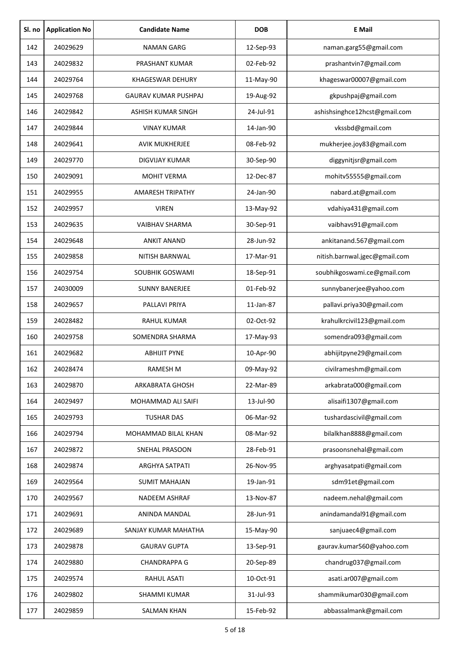| Sl. no | <b>Application No</b> | <b>Candidate Name</b>       | <b>DOB</b> | <b>E</b> Mail                 |
|--------|-----------------------|-----------------------------|------------|-------------------------------|
| 142    | 24029629              | <b>NAMAN GARG</b>           | 12-Sep-93  | naman.garg55@gmail.com        |
| 143    | 24029832              | PRASHANT KUMAR              | 02-Feb-92  | prashantvin7@gmail.com        |
| 144    | 24029764              | <b>KHAGESWAR DEHURY</b>     | 11-May-90  | khageswar00007@gmail.com      |
| 145    | 24029768              | <b>GAURAV KUMAR PUSHPAJ</b> | 19-Aug-92  | gkpushpaj@gmail.com           |
| 146    | 24029842              | ASHISH KUMAR SINGH          | 24-Jul-91  | ashishsinghce12hcst@gmail.com |
| 147    | 24029844              | <b>VINAY KUMAR</b>          | 14-Jan-90  | vkssbd@gmail.com              |
| 148    | 24029641              | <b>AVIK MUKHERJEE</b>       | 08-Feb-92  | mukherjee.joy83@gmail.com     |
| 149    | 24029770              | <b>DIGVIJAY KUMAR</b>       | 30-Sep-90  | diggynitjsr@gmail.com         |
| 150    | 24029091              | <b>MOHIT VERMA</b>          | 12-Dec-87  | mohitv55555@gmail.com         |
| 151    | 24029955              | <b>AMARESH TRIPATHY</b>     | 24-Jan-90  | nabard.at@gmail.com           |
| 152    | 24029957              | <b>VIREN</b>                | 13-May-92  | vdahiya431@gmail.com          |
| 153    | 24029635              | <b>VAIBHAV SHARMA</b>       | 30-Sep-91  | vaibhavs91@gmail.com          |
| 154    | 24029648              | <b>ANKIT ANAND</b>          | 28-Jun-92  | ankitanand.567@gmail.com      |
| 155    | 24029858              | NITISH BARNWAL              | 17-Mar-91  | nitish.barnwal.jgec@gmail.com |
| 156    | 24029754              | SOUBHIK GOSWAMI             | 18-Sep-91  | soubhikgoswami.ce@gmail.com   |
| 157    | 24030009              | <b>SUNNY BANERJEE</b>       | 01-Feb-92  | sunnybanerjee@yahoo.com       |
| 158    | 24029657              | PALLAVI PRIYA               | 11-Jan-87  | pallavi.priya30@gmail.com     |
| 159    | 24028482              | RAHUL KUMAR                 | 02-Oct-92  | krahulkrcivil123@gmail.com    |
| 160    | 24029758              | SOMENDRA SHARMA             | 17-May-93  | somendra093@gmail.com         |
| 161    | 24029682              | <b>ABHIJIT PYNE</b>         | 10-Apr-90  | abhijitpyne29@gmail.com       |
| 162    | 24028474              | <b>RAMESH M</b>             | 09-May-92  | civilrameshm@gmail.com        |
| 163    | 24029870              | ARKABRATA GHOSH             | 22-Mar-89  | arkabrata000@gmail.com        |
| 164    | 24029497              | MOHAMMAD ALI SAIFI          | 13-Jul-90  | alisaifi1307@gmail.com        |
| 165    | 24029793              | <b>TUSHAR DAS</b>           | 06-Mar-92  | tushardascivil@gmail.com      |
| 166    | 24029794              | MOHAMMAD BILAL KHAN         | 08-Mar-92  | bilalkhan8888@gmail.com       |
| 167    | 24029872              | SNEHAL PRASOON              | 28-Feb-91  | prasoonsnehal@gmail.com       |
| 168    | 24029874              | <b>ARGHYA SATPATI</b>       | 26-Nov-95  | arghyasatpati@gmail.com       |
| 169    | 24029564              | <b>SUMIT MAHAJAN</b>        | 19-Jan-91  | sdm91et@gmail.com             |
| 170    | 24029567              | NADEEM ASHRAF               | 13-Nov-87  | nadeem.nehal@gmail.com        |
| 171    | 24029691              | ANINDA MANDAL               | 28-Jun-91  | anindamandal91@gmail.com      |
| 172    | 24029689              | SANJAY KUMAR MAHATHA        | 15-May-90  | sanjuaec4@gmail.com           |
| 173    | 24029878              | <b>GAURAV GUPTA</b>         | 13-Sep-91  | gaurav.kumar560@yahoo.com     |
| 174    | 24029880              | <b>CHANDRAPPA G</b>         | 20-Sep-89  | chandrug037@gmail.com         |
| 175    | 24029574              | RAHUL ASATI                 | 10-Oct-91  | asati.ar007@gmail.com         |
| 176    | 24029802              | SHAMMI KUMAR                | 31-Jul-93  | shammikumar030@gmail.com      |
| 177    | 24029859              | <b>SALMAN KHAN</b>          | 15-Feb-92  | abbassalmank@gmail.com        |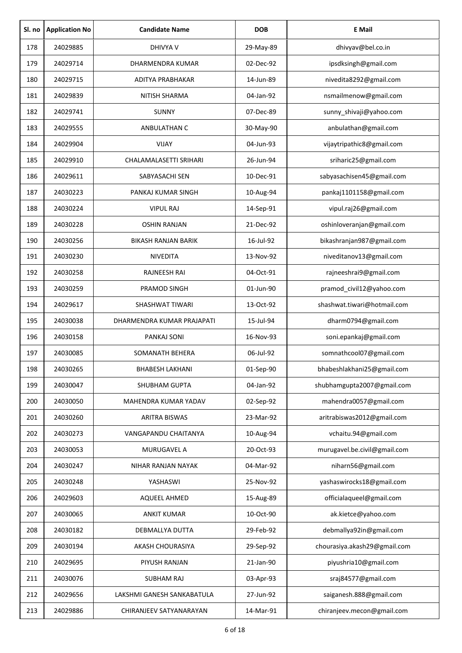| Sl. no | <b>Application No</b> | <b>Candidate Name</b>      | <b>DOB</b> | <b>E</b> Mail                |
|--------|-----------------------|----------------------------|------------|------------------------------|
| 178    | 24029885              | <b>DHIVYA V</b>            | 29-May-89  | dhivyav@bel.co.in            |
| 179    | 24029714              | DHARMENDRA KUMAR           | 02-Dec-92  | ipsdksingh@gmail.com         |
| 180    | 24029715              | ADITYA PRABHAKAR           | 14-Jun-89  | nivedita8292@gmail.com       |
| 181    | 24029839              | <b>NITISH SHARMA</b>       | 04-Jan-92  | nsmailmenow@gmail.com        |
| 182    | 24029741              | <b>SUNNY</b>               | 07-Dec-89  | sunny_shivaji@yahoo.com      |
| 183    | 24029555              | ANBULATHAN C               | 30-May-90  | anbulathan@gmail.com         |
| 184    | 24029904              | <b>VIJAY</b>               | 04-Jun-93  | vijaytripathic8@gmail.com    |
| 185    | 24029910              | CHALAMALASETTI SRIHARI     | 26-Jun-94  | sriharic25@gmail.com         |
| 186    | 24029611              | SABYASACHI SEN             | 10-Dec-91  | sabyasachisen45@gmail.com    |
| 187    | 24030223              | PANKAJ KUMAR SINGH         | 10-Aug-94  | pankaj1101158@gmail.com      |
| 188    | 24030224              | <b>VIPUL RAJ</b>           | 14-Sep-91  | vipul.raj26@gmail.com        |
| 189    | 24030228              | <b>OSHIN RANJAN</b>        | 21-Dec-92  | oshinloveranjan@gmail.com    |
| 190    | 24030256              | BIKASH RANJAN BARIK        | 16-Jul-92  | bikashranjan987@gmail.com    |
| 191    | 24030230              | <b>NIVEDITA</b>            | 13-Nov-92  | niveditanov13@gmail.com      |
| 192    | 24030258              | <b>RAJNEESH RAI</b>        | 04-Oct-91  | rajneeshrai9@gmail.com       |
| 193    | 24030259              | PRAMOD SINGH               | 01-Jun-90  | pramod_civil12@yahoo.com     |
| 194    | 24029617              | SHASHWAT TIWARI            | 13-Oct-92  | shashwat.tiwari@hotmail.com  |
| 195    | 24030038              | DHARMENDRA KUMAR PRAJAPATI | 15-Jul-94  | dharm0794@gmail.com          |
| 196    | 24030158              | PANKAJ SONI                | 16-Nov-93  | soni.epankaj@gmail.com       |
| 197    | 24030085              | SOMANATH BEHERA            | 06-Jul-92  | somnathcool07@gmail.com      |
| 198    | 24030265              | <b>BHABESH LAKHANI</b>     | 01-Sep-90  | bhabeshlakhani25@gmail.com   |
| 199    | 24030047              | SHUBHAM GUPTA              | 04-Jan-92  | shubhamgupta2007@gmail.com   |
| 200    | 24030050              | MAHENDRA KUMAR YADAV       | 02-Sep-92  | mahendra0057@gmail.com       |
| 201    | 24030260              | <b>ARITRA BISWAS</b>       | 23-Mar-92  | aritrabiswas2012@gmail.com   |
| 202    | 24030273              | VANGAPANDU CHAITANYA       | 10-Aug-94  | vchaitu.94@gmail.com         |
| 203    | 24030053              | MURUGAVEL A                | 20-Oct-93  | murugavel.be.civil@gmail.com |
| 204    | 24030247              | NIHAR RANJAN NAYAK         | 04-Mar-92  | niharn56@gmail.com           |
| 205    | 24030248              | YASHASWI                   | 25-Nov-92  | yashaswirocks18@gmail.com    |
| 206    | 24029603              | AQUEEL AHMED               | 15-Aug-89  | officialaqueel@gmail.com     |
| 207    | 24030065              | <b>ANKIT KUMAR</b>         | 10-Oct-90  | ak.kietce@yahoo.com          |
| 208    | 24030182              | DEBMALLYA DUTTA            | 29-Feb-92  | debmallya92in@gmail.com      |
| 209    | 24030194              | AKASH CHOURASIYA           | 29-Sep-92  | chourasiya.akash29@gmail.com |
| 210    | 24029695              | PIYUSH RANJAN              | 21-Jan-90  | piyushria10@gmail.com        |
| 211    | 24030076              | <b>SUBHAM RAJ</b>          | 03-Apr-93  | sraj84577@gmail.com          |
| 212    | 24029656              | LAKSHMI GANESH SANKABATULA | 27-Jun-92  | saiganesh.888@gmail.com      |
| 213    | 24029886              | CHIRANJEEV SATYANARAYAN    | 14-Mar-91  | chiranjeev.mecon@gmail.com   |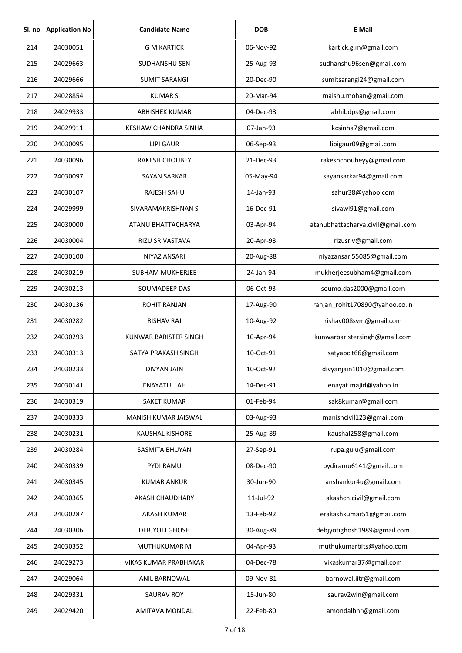| Sl. no | <b>Application No</b> | <b>Candidate Name</b>   | <b>DOB</b> | <b>E</b> Mail                     |
|--------|-----------------------|-------------------------|------------|-----------------------------------|
| 214    | 24030051              | <b>G M KARTICK</b>      | 06-Nov-92  | kartick.g.m@gmail.com             |
| 215    | 24029663              | SUDHANSHU SEN           | 25-Aug-93  | sudhanshu96sen@gmail.com          |
| 216    | 24029666              | <b>SUMIT SARANGI</b>    | 20-Dec-90  | sumitsarangi24@gmail.com          |
| 217    | 24028854              | <b>KUMAR S</b>          | 20-Mar-94  | maishu.mohan@gmail.com            |
| 218    | 24029933              | <b>ABHISHEK KUMAR</b>   | 04-Dec-93  | abhibdps@gmail.com                |
| 219    | 24029911              | KESHAW CHANDRA SINHA    | 07-Jan-93  | kcsinha7@gmail.com                |
| 220    | 24030095              | <b>LIPI GAUR</b>        | 06-Sep-93  | lipigaur09@gmail.com              |
| 221    | 24030096              | <b>RAKESH CHOUBEY</b>   | 21-Dec-93  | rakeshchoubeyy@gmail.com          |
| 222    | 24030097              | <b>SAYAN SARKAR</b>     | 05-May-94  | sayansarkar94@gmail.com           |
| 223    | 24030107              | RAJESH SAHU             | 14-Jan-93  | sahur38@yahoo.com                 |
| 224    | 24029999              | SIVARAMAKRISHNAN S      | 16-Dec-91  | sivawl91@gmail.com                |
| 225    | 24030000              | ATANU BHATTACHARYA      | 03-Apr-94  | atanubhattacharya.civil@gmail.com |
| 226    | 24030004              | RIZU SRIVASTAVA         | 20-Apr-93  | rizusriv@gmail.com                |
| 227    | 24030100              | NIYAZ ANSARI            | 20-Aug-88  | niyazansari55085@gmail.com        |
| 228    | 24030219              | <b>SUBHAM MUKHERJEE</b> | 24-Jan-94  | mukherjeesubham4@gmail.com        |
| 229    | 24030213              | SOUMADEEP DAS           | 06-Oct-93  | soumo.das2000@gmail.com           |
| 230    | 24030136              | <b>ROHIT RANJAN</b>     | 17-Aug-90  | ranjan_rohit170890@yahoo.co.in    |
| 231    | 24030282              | <b>RISHAV RAJ</b>       | 10-Aug-92  | rishav008svm@gmail.com            |
| 232    | 24030293              | KUNWAR BARISTER SINGH   | 10-Apr-94  | kunwarbaristersingh@gmail.com     |
| 233    | 24030313              | SATYA PRAKASH SINGH     | 10-Oct-91  | satyapcit66@gmail.com             |
| 234    | 24030233              | <b>DIVYAN JAIN</b>      | 10-Oct-92  | divyanjain1010@gmail.com          |
| 235    | 24030141              | ENAYATULLAH             | 14-Dec-91  | enayat.majid@yahoo.in             |
| 236    | 24030319              | <b>SAKET KUMAR</b>      | 01-Feb-94  | sak8kumar@gmail.com               |
| 237    | 24030333              | MANISH KUMAR JAISWAL    | 03-Aug-93  | manishcivil123@gmail.com          |
| 238    | 24030231              | <b>KAUSHAL KISHORE</b>  | 25-Aug-89  | kaushal258@gmail.com              |
| 239    | 24030284              | SASMITA BHUYAN          | 27-Sep-91  | rupa.gulu@gmail.com               |
| 240    | 24030339              | PYDI RAMU               | 08-Dec-90  | pydiramu6141@gmail.com            |
| 241    | 24030345              | <b>KUMAR ANKUR</b>      | 30-Jun-90  | anshankur4u@gmail.com             |
| 242    | 24030365              | AKASH CHAUDHARY         | 11-Jul-92  | akashch.civil@gmail.com           |
| 243    | 24030287              | AKASH KUMAR             | 13-Feb-92  | erakashkumar51@gmail.com          |
| 244    | 24030306              | DEBJYOTI GHOSH          | 30-Aug-89  | debjyotighosh1989@gmail.com       |
| 245    | 24030352              | MUTHUKUMAR M            | 04-Apr-93  | muthukumarbits@yahoo.com          |
| 246    | 24029273              | VIKAS KUMAR PRABHAKAR   | 04-Dec-78  | vikaskumar37@gmail.com            |
| 247    | 24029064              | ANIL BARNOWAL           | 09-Nov-81  | barnowal.iitr@gmail.com           |
| 248    | 24029331              | <b>SAURAV ROY</b>       | 15-Jun-80  | saurav2win@gmail.com              |
| 249    | 24029420              | AMITAVA MONDAL          | 22-Feb-80  | amondalbnr@gmail.com              |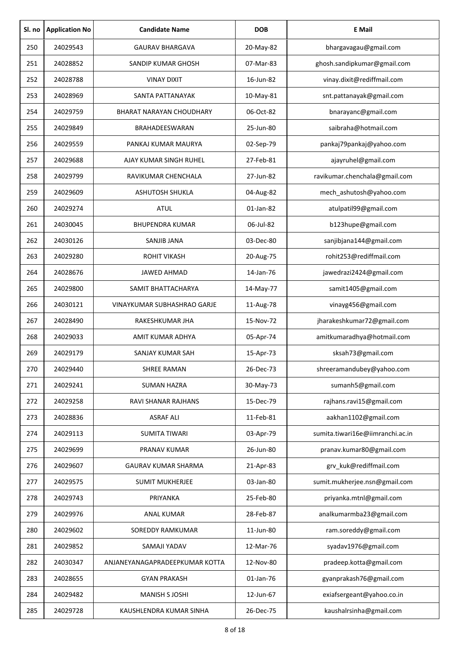| Sl. no | <b>Application No</b> | <b>Candidate Name</b>           | <b>DOB</b> | <b>E</b> Mail                    |
|--------|-----------------------|---------------------------------|------------|----------------------------------|
| 250    | 24029543              | <b>GAURAV BHARGAVA</b>          | 20-May-82  | bhargavagau@gmail.com            |
| 251    | 24028852              | SANDIP KUMAR GHOSH              | 07-Mar-83  | ghosh.sandipkumar@gmail.com      |
| 252    | 24028788              | <b>VINAY DIXIT</b>              | 16-Jun-82  | vinay.dixit@rediffmail.com       |
| 253    | 24028969              | SANTA PATTANAYAK                | 10-May-81  | snt.pattanayak@gmail.com         |
| 254    | 24029759              | <b>BHARAT NARAYAN CHOUDHARY</b> | 06-Oct-82  | bnarayanc@gmail.com              |
| 255    | 24029849              | BRAHADEESWARAN                  | 25-Jun-80  | saibraha@hotmail.com             |
| 256    | 24029559              | PANKAJ KUMAR MAURYA             | 02-Sep-79  | pankaj79pankaj@yahoo.com         |
| 257    | 24029688              | AJAY KUMAR SINGH RUHEL          | 27-Feb-81  | ajayruhel@gmail.com              |
| 258    | 24029799              | RAVIKUMAR CHENCHALA             | 27-Jun-82  | ravikumar.chenchala@gmail.com    |
| 259    | 24029609              | <b>ASHUTOSH SHUKLA</b>          | 04-Aug-82  | mech ashutosh@yahoo.com          |
| 260    | 24029274              | <b>ATUL</b>                     | 01-Jan-82  | atulpatil99@gmail.com            |
| 261    | 24030045              | <b>BHUPENDRA KUMAR</b>          | 06-Jul-82  | b123hupe@gmail.com               |
| 262    | 24030126              | <b>SANJIB JANA</b>              | 03-Dec-80  | sanjibjana144@gmail.com          |
| 263    | 24029280              | <b>ROHIT VIKASH</b>             | 20-Aug-75  | rohit253@rediffmail.com          |
| 264    | 24028676              | <b>JAWED AHMAD</b>              | 14-Jan-76  | jawedrazi2424@gmail.com          |
| 265    | 24029800              | SAMIT BHATTACHARYA              | 14-May-77  | samit1405@gmail.com              |
| 266    | 24030121              | VINAYKUMAR SUBHASHRAO GARJE     | 11-Aug-78  | vinayg456@gmail.com              |
| 267    | 24028490              | RAKESHKUMAR JHA                 | 15-Nov-72  | jharakeshkumar72@gmail.com       |
| 268    | 24029033              | AMIT KUMAR ADHYA                | 05-Apr-74  | amitkumaradhya@hotmail.com       |
| 269    | 24029179              | SANJAY KUMAR SAH                | 15-Apr-73  | sksah73@gmail.com                |
| 270    | 24029440              | SHREE RAMAN                     | 26-Dec-73  | shreeramandubey@yahoo.com        |
| 271    | 24029241              | <b>SUMAN HAZRA</b>              | 30-May-73  | sumanh5@gmail.com                |
| 272    | 24029258              | RAVI SHANAR RAJHANS             | 15-Dec-79  | rajhans.ravi15@gmail.com         |
| 273    | 24028836              | <b>ASRAF ALI</b>                | 11-Feb-81  | aakhan1102@gmail.com             |
| 274    | 24029113              | <b>SUMITA TIWARI</b>            | 03-Apr-79  | sumita.tiwari16e@iimranchi.ac.in |
| 275    | 24029699              | PRANAV KUMAR                    | 26-Jun-80  | pranav.kumar80@gmail.com         |
| 276    | 24029607              | <b>GAURAV KUMAR SHARMA</b>      | 21-Apr-83  | grv_kuk@rediffmail.com           |
| 277    | 24029575              | <b>SUMIT MUKHERJEE</b>          | 03-Jan-80  | sumit.mukherjee.nsn@gmail.com    |
| 278    | 24029743              | PRIYANKA                        | 25-Feb-80  | priyanka.mtnl@gmail.com          |
| 279    | 24029976              | <b>ANAL KUMAR</b>               | 28-Feb-87  | analkumarmba23@gmail.com         |
| 280    | 24029602              | SOREDDY RAMKUMAR                | 11-Jun-80  | ram.soreddy@gmail.com            |
| 281    | 24029852              | SAMAJI YADAV                    | 12-Mar-76  | syadav1976@gmail.com             |
| 282    | 24030347              | ANJANEYANAGAPRADEEPKUMAR KOTTA  | 12-Nov-80  | pradeep.kotta@gmail.com          |
| 283    | 24028655              | <b>GYAN PRAKASH</b>             | 01-Jan-76  | gyanprakash76@gmail.com          |
| 284    | 24029482              | <b>MANISH S JOSHI</b>           | 12-Jun-67  | exiafsergeant@yahoo.co.in        |
| 285    | 24029728              | KAUSHLENDRA KUMAR SINHA         | 26-Dec-75  | kaushalrsinha@gmail.com          |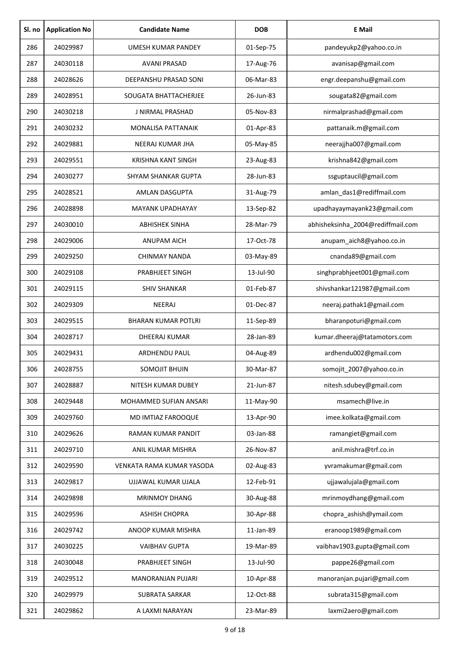| Sl. no | <b>Application No</b> | <b>Candidate Name</b>      | <b>DOB</b> | <b>E</b> Mail                     |
|--------|-----------------------|----------------------------|------------|-----------------------------------|
| 286    | 24029987              | UMESH KUMAR PANDEY         | 01-Sep-75  | pandeyukp2@yahoo.co.in            |
| 287    | 24030118              | <b>AVANI PRASAD</b>        | 17-Aug-76  | avanisap@gmail.com                |
| 288    | 24028626              | DEEPANSHU PRASAD SONI      | 06-Mar-83  | engr.deepanshu@gmail.com          |
| 289    | 24028951              | SOUGATA BHATTACHERJEE      | 26-Jun-83  | sougata82@gmail.com               |
| 290    | 24030218              | <b>J NIRMAL PRASHAD</b>    | 05-Nov-83  | nirmalprashad@gmail.com           |
| 291    | 24030232              | <b>MONALISA PATTANAIK</b>  | 01-Apr-83  | pattanaik.m@gmail.com             |
| 292    | 24029881              | NEERAJ KUMAR JHA           | 05-May-85  | neerajjha007@gmail.com            |
| 293    | 24029551              | KRISHNA KANT SINGH         | 23-Aug-83  | krishna842@gmail.com              |
| 294    | 24030277              | <b>SHYAM SHANKAR GUPTA</b> | 28-Jun-83  | ssguptaucil@gmail.com             |
| 295    | 24028521              | AMLAN DASGUPTA             | 31-Aug-79  | amlan_das1@rediffmail.com         |
| 296    | 24028898              | MAYANK UPADHAYAY           | 13-Sep-82  | upadhayaymayank23@gmail.com       |
| 297    | 24030010              | <b>ABHISHEK SINHA</b>      | 28-Mar-79  | abhisheksinha_2004@rediffmail.com |
| 298    | 24029006              | ANUPAM AICH                | 17-Oct-78  | anupam_aich8@yahoo.co.in          |
| 299    | 24029250              | CHINMAY NANDA              | 03-May-89  | cnanda89@gmail.com                |
| 300    | 24029108              | PRABHJEET SINGH            | 13-Jul-90  | singhprabhjeet001@gmail.com       |
| 301    | 24029115              | <b>SHIV SHANKAR</b>        | 01-Feb-87  | shivshankar121987@gmail.com       |
| 302    | 24029309              | NEERAJ                     | 01-Dec-87  | neeraj.pathak1@gmail.com          |
| 303    | 24029515              | <b>BHARAN KUMAR POTLRI</b> | 11-Sep-89  | bharanpoturi@gmail.com            |
| 304    | 24028717              | DHEERAJ KUMAR              | 28-Jan-89  | kumar.dheeraj@tatamotors.com      |
| 305    | 24029431              | <b>ARDHENDU PAUL</b>       | 04-Aug-89  | ardhendu002@gmail.com             |
| 306    | 24028755              | SOMOJIT BHUIN              | 30-Mar-87  | somojit 2007@yahoo.co.in          |
| 307    | 24028887              | NITESH KUMAR DUBEY         | 21-Jun-87  | nitesh.sdubey@gmail.com           |
| 308    | 24029448              | MOHAMMED SUFIAN ANSARI     | 11-May-90  | msamech@live.in                   |
| 309    | 24029760              | MD IMTIAZ FAROOQUE         | 13-Apr-90  | imee.kolkata@gmail.com            |
| 310    | 24029626              | RAMAN KUMAR PANDIT         | 03-Jan-88  | ramangiet@gmail.com               |
| 311    | 24029710              | ANIL KUMAR MISHRA          | 26-Nov-87  | anil.mishra@trf.co.in             |
| 312    | 24029590              | VENKATA RAMA KUMAR YASODA  | 02-Aug-83  | yvramakumar@gmail.com             |
| 313    | 24029817              | UJJAWAL KUMAR UJALA        | 12-Feb-91  | ujjawalujala@gmail.com            |
| 314    | 24029898              | <b>MRINMOY DHANG</b>       | 30-Aug-88  | mrinmoydhang@gmail.com            |
| 315    | 24029596              | <b>ASHISH CHOPRA</b>       | 30-Apr-88  | chopra_ashish@ymail.com           |
| 316    | 24029742              | ANOOP KUMAR MISHRA         | 11-Jan-89  | eranoop1989@gmail.com             |
| 317    | 24030225              | <b>VAIBHAV GUPTA</b>       | 19-Mar-89  | vaibhav1903.gupta@gmail.com       |
| 318    | 24030048              | PRABHJEET SINGH            | 13-Jul-90  | pappe26@gmail.com                 |
| 319    | 24029512              | <b>MANORANJAN PUJARI</b>   | 10-Apr-88  | manoranjan.pujari@gmail.com       |
| 320    | 24029979              | <b>SUBRATA SARKAR</b>      | 12-Oct-88  | subrata315@gmail.com              |
| 321    | 24029862              | A LAXMI NARAYAN            | 23-Mar-89  | laxmi2aero@gmail.com              |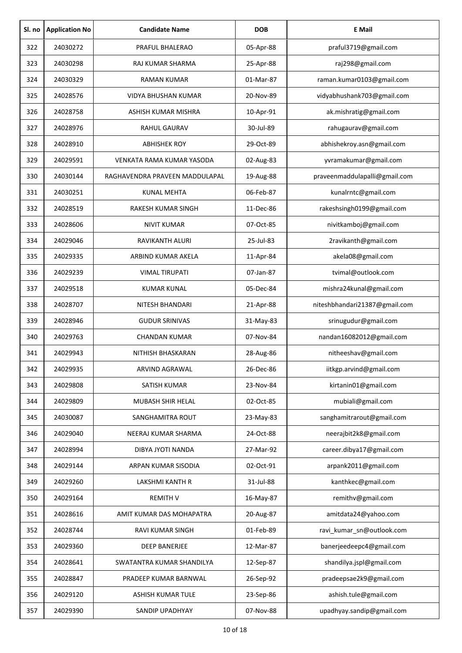| Sl. no | <b>Application No</b> | <b>Candidate Name</b>          | <b>DOB</b> | <b>E</b> Mail                 |
|--------|-----------------------|--------------------------------|------------|-------------------------------|
| 322    | 24030272              | PRAFUL BHALERAO                | 05-Apr-88  | praful3719@gmail.com          |
| 323    | 24030298              | RAJ KUMAR SHARMA               | 25-Apr-88  | raj298@gmail.com              |
| 324    | 24030329              | <b>RAMAN KUMAR</b>             | 01-Mar-87  | raman.kumar0103@gmail.com     |
| 325    | 24028576              | <b>VIDYA BHUSHAN KUMAR</b>     | 20-Nov-89  | vidyabhushank703@gmail.com    |
| 326    | 24028758              | ASHISH KUMAR MISHRA            | 10-Apr-91  | ak.mishratig@gmail.com        |
| 327    | 24028976              | <b>RAHUL GAURAV</b>            | 30-Jul-89  | rahugaurav@gmail.com          |
| 328    | 24028910              | <b>ABHISHEK ROY</b>            | 29-Oct-89  | abhishekroy.asn@gmail.com     |
| 329    | 24029591              | VENKATA RAMA KUMAR YASODA      | 02-Aug-83  | yvramakumar@gmail.com         |
| 330    | 24030144              | RAGHAVENDRA PRAVEEN MADDULAPAL | 19-Aug-88  | praveenmaddulapalli@gmail.com |
| 331    | 24030251              | KUNAL MEHTA                    | 06-Feb-87  | kunalrntc@gmail.com           |
| 332    | 24028519              | <b>RAKESH KUMAR SINGH</b>      | 11-Dec-86  | rakeshsingh0199@gmail.com     |
| 333    | 24028606              | <b>NIVIT KUMAR</b>             | 07-Oct-85  | nivitkamboj@gmail.com         |
| 334    | 24029046              | RAVIKANTH ALURI                | 25-Jul-83  | 2ravikanth@gmail.com          |
| 335    | 24029335              | ARBIND KUMAR AKELA             | 11-Apr-84  | akela08@gmail.com             |
| 336    | 24029239              | <b>VIMAL TIRUPATI</b>          | 07-Jan-87  | tvimal@outlook.com            |
| 337    | 24029518              | <b>KUMAR KUNAL</b>             | 05-Dec-84  | mishra24kunal@gmail.com       |
| 338    | 24028707              | <b>NITESH BHANDARI</b>         | 21-Apr-88  | niteshbhandari21387@gmail.com |
| 339    | 24028946              | <b>GUDUR SRINIVAS</b>          | 31-May-83  | srinugudur@gmail.com          |
| 340    | 24029763              | <b>CHANDAN KUMAR</b>           | 07-Nov-84  | nandan16082012@gmail.com      |
| 341    | 24029943              | NITHISH BHASKARAN              | 28-Aug-86  | nitheeshav@gmail.com          |
| 342    | 24029935              | ARVIND AGRAWAL                 | 26-Dec-86  | iitkgp.arvind@gmail.com       |
| 343    | 24029808              | SATISH KUMAR                   | 23-Nov-84  | kirtanin01@gmail.com          |
| 344    | 24029809              | MUBASH SHIR HELAL              | 02-Oct-85  | mubiali@gmail.com             |
| 345    | 24030087              | SANGHAMITRA ROUT               | 23-May-83  | sanghamitrarout@gmail.com     |
| 346    | 24029040              | NEERAJ KUMAR SHARMA            | 24-Oct-88  | neerajbit2k8@gmail.com        |
| 347    | 24028994              | DIBYA JYOTI NANDA              | 27-Mar-92  | career.dibya17@gmail.com      |
| 348    | 24029144              | ARPAN KUMAR SISODIA            | 02-Oct-91  | arpank2011@gmail.com          |
| 349    | 24029260              | LAKSHMI KANTH R                | 31-Jul-88  | kanthkec@gmail.com            |
| 350    | 24029164              | <b>REMITH V</b>                | 16-May-87  | remithv@gmail.com             |
| 351    | 24028616              | AMIT KUMAR DAS MOHAPATRA       | 20-Aug-87  | amitdata24@yahoo.com          |
| 352    | 24028744              | RAVI KUMAR SINGH               | 01-Feb-89  | ravi_kumar_sn@outlook.com     |
| 353    | 24029360              | <b>DEEP BANERJEE</b>           | 12-Mar-87  | banerjeedeepc4@gmail.com      |
| 354    | 24028641              | SWATANTRA KUMAR SHANDILYA      | 12-Sep-87  | shandilya.jspl@gmail.com      |
| 355    | 24028847              | PRADEEP KUMAR BARNWAL          | 26-Sep-92  | pradeepsae2k9@gmail.com       |
| 356    | 24029120              | ASHISH KUMAR TULE              | 23-Sep-86  | ashish.tule@gmail.com         |
| 357    | 24029390              | SANDIP UPADHYAY                | 07-Nov-88  | upadhyay.sandip@gmail.com     |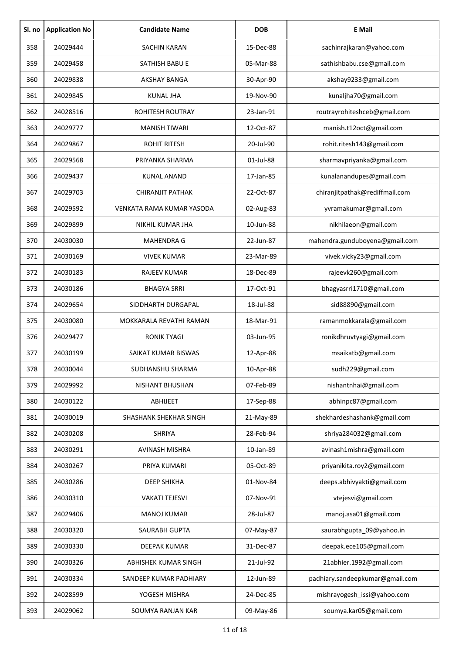| Sl. no | <b>Application No</b> | <b>Candidate Name</b>            | <b>DOB</b> | <b>E</b> Mail                   |
|--------|-----------------------|----------------------------------|------------|---------------------------------|
| 358    | 24029444              | <b>SACHIN KARAN</b>              | 15-Dec-88  | sachinrajkaran@yahoo.com        |
| 359    | 24029458              | SATHISH BABU E                   | 05-Mar-88  | sathishbabu.cse@gmail.com       |
| 360    | 24029838              | <b>AKSHAY BANGA</b>              | 30-Apr-90  | akshay9233@gmail.com            |
| 361    | 24029845              | <b>KUNAL JHA</b>                 | 19-Nov-90  | kunaljha70@gmail.com            |
| 362    | 24028516              | <b>ROHITESH ROUTRAY</b>          | 23-Jan-91  | routrayrohiteshceb@gmail.com    |
| 363    | 24029777              | <b>MANISH TIWARI</b>             | 12-Oct-87  | manish.t12oct@gmail.com         |
| 364    | 24029867              | <b>ROHIT RITESH</b>              | 20-Jul-90  | rohit.ritesh143@gmail.com       |
| 365    | 24029568              | PRIYANKA SHARMA                  | 01-Jul-88  | sharmavpriyanka@gmail.com       |
| 366    | 24029437              | <b>KUNAL ANAND</b>               | 17-Jan-85  | kunalanandupes@gmail.com        |
| 367    | 24029703              | <b>CHIRANJIT PATHAK</b>          | 22-Oct-87  | chiranjitpathak@rediffmail.com  |
| 368    | 24029592              | <b>VENKATA RAMA KUMAR YASODA</b> | 02-Aug-83  | yvramakumar@gmail.com           |
| 369    | 24029899              | NIKHIL KUMAR JHA                 | 10-Jun-88  | nikhilaeon@gmail.com            |
| 370    | 24030030              | <b>MAHENDRA G</b>                | 22-Jun-87  | mahendra.gunduboyena@gmail.com  |
| 371    | 24030169              | <b>VIVEK KUMAR</b>               | 23-Mar-89  | vivek.vicky23@gmail.com         |
| 372    | 24030183              | <b>RAJEEV KUMAR</b>              | 18-Dec-89  | rajeevk260@gmail.com            |
| 373    | 24030186              | <b>BHAGYA SRRI</b>               | 17-Oct-91  | bhagyasrri1710@gmail.com        |
| 374    | 24029654              | SIDDHARTH DURGAPAL               | 18-Jul-88  | sid88890@gmail.com              |
| 375    | 24030080              | MOKKARALA REVATHI RAMAN          | 18-Mar-91  | ramanmokkarala@gmail.com        |
| 376    | 24029477              | <b>RONIK TYAGI</b>               | 03-Jun-95  | ronikdhruvtyagi@gmail.com       |
| 377    | 24030199              | SAIKAT KUMAR BISWAS              | 12-Apr-88  | msaikatb@gmail.com              |
| 378    | 24030044              | SUDHANSHU SHARMA                 | 10-Apr-88  | sudh229@gmail.com               |
| 379    | 24029992              | NISHANT BHUSHAN                  | 07-Feb-89  | nishantnhai@gmail.com           |
| 380    | 24030122              | <b>ABHIJEET</b>                  | 17-Sep-88  | abhinpc87@gmail.com             |
| 381    | 24030019              | SHASHANK SHEKHAR SINGH           | 21-May-89  | shekhardeshashank@gmail.com     |
| 382    | 24030208              | SHRIYA                           | 28-Feb-94  | shriya284032@gmail.com          |
| 383    | 24030291              | AVINASH MISHRA                   | 10-Jan-89  | avinash1mishra@gmail.com        |
| 384    | 24030267              | PRIYA KUMARI                     | 05-Oct-89  | priyanikita.roy2@gmail.com      |
| 385    | 24030286              | <b>DEEP SHIKHA</b>               | 01-Nov-84  | deeps.abhivyakti@gmail.com      |
| 386    | 24030310              | <b>VAKATI TEJESVI</b>            | 07-Nov-91  | vtejesvi@gmail.com              |
| 387    | 24029406              | <b>MANOJ KUMAR</b>               | 28-Jul-87  | manoj.asa01@gmail.com           |
| 388    | 24030320              | SAURABH GUPTA                    | 07-May-87  | saurabhgupta_09@yahoo.in        |
| 389    | 24030330              | DEEPAK KUMAR                     | 31-Dec-87  | deepak.ece105@gmail.com         |
| 390    | 24030326              | ABHISHEK KUMAR SINGH             | 21-Jul-92  | 21abhier.1992@gmail.com         |
| 391    | 24030334              | SANDEEP KUMAR PADHIARY           | 12-Jun-89  | padhiary.sandeepkumar@gmail.com |
| 392    | 24028599              | YOGESH MISHRA                    | 24-Dec-85  | mishrayogesh_issi@yahoo.com     |
| 393    | 24029062              | SOUMYA RANJAN KAR                | 09-May-86  | soumya.kar05@gmail.com          |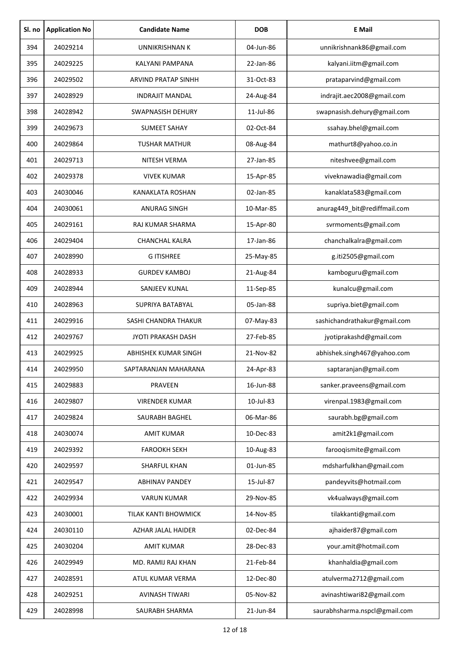| Sl. no | <b>Application No</b> | <b>Candidate Name</b>     | <b>DOB</b> | <b>E</b> Mail                 |
|--------|-----------------------|---------------------------|------------|-------------------------------|
| 394    | 24029214              | <b>UNNIKRISHNAN K</b>     | 04-Jun-86  | unnikrishnank86@gmail.com     |
| 395    | 24029225              | <b>KALYANI PAMPANA</b>    | 22-Jan-86  | kalyani.iitm@gmail.com        |
| 396    | 24029502              | ARVIND PRATAP SINHH       | 31-Oct-83  | prataparvind@gmail.com        |
| 397    | 24028929              | <b>INDRAJIT MANDAL</b>    | 24-Aug-84  | indrajit.aec2008@gmail.com    |
| 398    | 24028942              | <b>SWAPNASISH DEHURY</b>  | 11-Jul-86  | swapnasish.dehury@gmail.com   |
| 399    | 24029673              | <b>SUMEET SAHAY</b>       | 02-Oct-84  | ssahay.bhel@gmail.com         |
| 400    | 24029864              | <b>TUSHAR MATHUR</b>      | 08-Aug-84  | mathurt8@yahoo.co.in          |
| 401    | 24029713              | NITESH VERMA              | 27-Jan-85  | niteshvee@gmail.com           |
| 402    | 24029378              | <b>VIVEK KUMAR</b>        | 15-Apr-85  | viveknawadia@gmail.com        |
| 403    | 24030046              | <b>KANAKLATA ROSHAN</b>   | 02-Jan-85  | kanaklata583@gmail.com        |
| 404    | 24030061              | <b>ANURAG SINGH</b>       | 10-Mar-85  | anurag449_bit@rediffmail.com  |
| 405    | 24029161              | RAJ KUMAR SHARMA          | 15-Apr-80  | svrmoments@gmail.com          |
| 406    | 24029404              | <b>CHANCHAL KALRA</b>     | 17-Jan-86  | chanchalkalra@gmail.com       |
| 407    | 24028990              | <b>GITISHREE</b>          | 25-May-85  | g.iti2505@gmail.com           |
| 408    | 24028933              | <b>GURDEV KAMBOJ</b>      | 21-Aug-84  | kamboguru@gmail.com           |
| 409    | 24028944              | SANJEEV KUNAL             | 11-Sep-85  | kunalcu@gmail.com             |
| 410    | 24028963              | <b>SUPRIYA BATABYAL</b>   | 05-Jan-88  | supriya.biet@gmail.com        |
| 411    | 24029916              | SASHI CHANDRA THAKUR      | 07-May-83  | sashichandrathakur@gmail.com  |
| 412    | 24029767              | <b>JYOTI PRAKASH DASH</b> | 27-Feb-85  | jyotiprakashd@gmail.com       |
| 413    | 24029925              | ABHISHEK KUMAR SINGH      | 21-Nov-82  | abhishek.singh467@yahoo.com   |
| 414    | 24029950              | SAPTARANJAN MAHARANA      | 24-Apr-83  | saptaranjan@gmail.com         |
| 415    | 24029883              | PRAVEEN                   | 16-Jun-88  | sanker.praveens@gmail.com     |
| 416    | 24029807              | <b>VIRENDER KUMAR</b>     | 10-Jul-83  | virenpal.1983@gmail.com       |
| 417    | 24029824              | SAURABH BAGHEL            | 06-Mar-86  | saurabh.bg@gmail.com          |
| 418    | 24030074              | <b>AMIT KUMAR</b>         | 10-Dec-83  | amit2k1@gmail.com             |
| 419    | 24029392              | <b>FAROOKH SEKH</b>       | 10-Aug-83  | farooqismite@gmail.com        |
| 420    | 24029597              | SHARFUL KHAN              | 01-Jun-85  | mdsharfulkhan@gmail.com       |
| 421    | 24029547              | <b>ABHINAV PANDEY</b>     | 15-Jul-87  | pandeyvits@hotmail.com        |
| 422    | 24029934              | <b>VARUN KUMAR</b>        | 29-Nov-85  | vk4ualways@gmail.com          |
| 423    | 24030001              | TILAK KANTI BHOWMICK      | 14-Nov-85  | tilakkanti@gmail.com          |
| 424    | 24030110              | AZHAR JALAL HAIDER        | 02-Dec-84  | ajhaider87@gmail.com          |
| 425    | 24030204              | <b>AMIT KUMAR</b>         | 28-Dec-83  | your.amit@hotmail.com         |
| 426    | 24029949              | MD. RAMIJ RAJ KHAN        | 21-Feb-84  | khanhaldia@gmail.com          |
| 427    | 24028591              | ATUL KUMAR VERMA          | 12-Dec-80  | atulverma2712@gmail.com       |
| 428    | 24029251              | <b>AVINASH TIWARI</b>     | 05-Nov-82  | avinashtiwari82@gmail.com     |
| 429    | 24028998              | SAURABH SHARMA            | 21-Jun-84  | saurabhsharma.nspcl@gmail.com |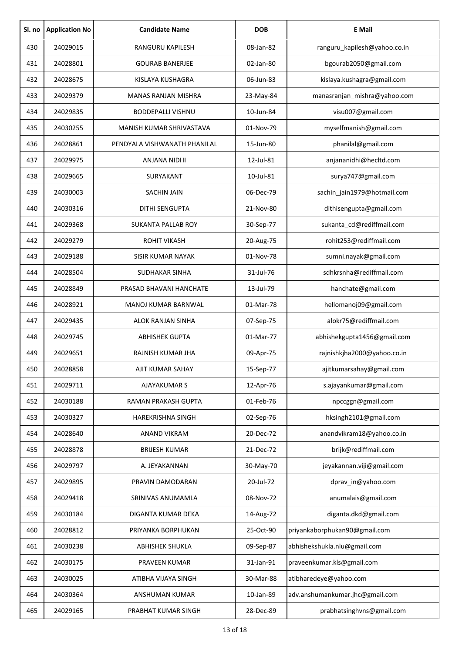| Sl. no | <b>Application No</b> | <b>Candidate Name</b>        | <b>DOB</b> | <b>E</b> Mail                   |
|--------|-----------------------|------------------------------|------------|---------------------------------|
| 430    | 24029015              | RANGURU KAPILESH             | 08-Jan-82  | ranguru_kapilesh@yahoo.co.in    |
| 431    | 24028801              | <b>GOURAB BANERJEE</b>       | 02-Jan-80  | bgourab2050@gmail.com           |
| 432    | 24028675              | KISLAYA KUSHAGRA             | 06-Jun-83  | kislaya.kushagra@gmail.com      |
| 433    | 24029379              | <b>MANAS RANJAN MISHRA</b>   | 23-May-84  | manasranjan_mishra@yahoo.com    |
| 434    | 24029835              | <b>BODDEPALLI VISHNU</b>     | 10-Jun-84  | visu007@gmail.com               |
| 435    | 24030255              | MANISH KUMAR SHRIVASTAVA     | 01-Nov-79  | myselfmanish@gmail.com          |
| 436    | 24028861              | PENDYALA VISHWANATH PHANILAL | 15-Jun-80  | phanilal@gmail.com              |
| 437    | 24029975              | <b>ANJANA NIDHI</b>          | 12-Jul-81  | anjananidhi@hecltd.com          |
| 438    | 24029665              | SURYAKANT                    | 10-Jul-81  | surya747@gmail.com              |
| 439    | 24030003              | SACHIN JAIN                  | 06-Dec-79  | sachin_jain1979@hotmail.com     |
| 440    | 24030316              | <b>DITHI SENGUPTA</b>        | 21-Nov-80  | dithisengupta@gmail.com         |
| 441    | 24029368              | <b>SUKANTA PALLAB ROY</b>    | 30-Sep-77  | sukanta_cd@rediffmail.com       |
| 442    | 24029279              | <b>ROHIT VIKASH</b>          | 20-Aug-75  | rohit253@rediffmail.com         |
| 443    | 24029188              | <b>SISIR KUMAR NAYAK</b>     | 01-Nov-78  | sumni.nayak@gmail.com           |
| 444    | 24028504              | SUDHAKAR SINHA               | 31-Jul-76  | sdhkrsnha@rediffmail.com        |
| 445    | 24028849              | PRASAD BHAVANI HANCHATE      | 13-Jul-79  | hanchate@gmail.com              |
| 446    | 24028921              | MANOJ KUMAR BARNWAL          | 01-Mar-78  | hellomanoj09@gmail.com          |
| 447    | 24029435              | ALOK RANJAN SINHA            | 07-Sep-75  | alokr75@rediffmail.com          |
| 448    | 24029745              | <b>ABHISHEK GUPTA</b>        | 01-Mar-77  | abhishekgupta1456@gmail.com     |
| 449    | 24029651              | RAJNISH KUMAR JHA            | 09-Apr-75  | rajnishkjha2000@yahoo.co.in     |
| 450    | 24028858              | AJIT KUMAR SAHAY             | 15-Sep-77  | ajitkumarsahay@gmail.com        |
| 451    | 24029711              | <b>AJAYAKUMAR S</b>          | 12-Apr-76  | s.ajayankumar@gmail.com         |
| 452    | 24030188              | RAMAN PRAKASH GUPTA          | 01-Feb-76  | npccggn@gmail.com               |
| 453    | 24030327              | <b>HAREKRISHNA SINGH</b>     | 02-Sep-76  | hksingh2101@gmail.com           |
| 454    | 24028640              | ANAND VIKRAM                 | 20-Dec-72  | anandvikram18@yahoo.co.in       |
| 455    | 24028878              | <b>BRIJESH KUMAR</b>         | 21-Dec-72  | brijk@rediffmail.com            |
| 456    | 24029797              | A. JEYAKANNAN                | 30-May-70  | jeyakannan.viji@gmail.com       |
| 457    | 24029895              | PRAVIN DAMODARAN             | 20-Jul-72  | dprav_in@yahoo.com              |
| 458    | 24029418              | SRINIVAS ANUMAMLA            | 08-Nov-72  | anumalais@gmail.com             |
| 459    | 24030184              | DIGANTA KUMAR DEKA           | 14-Aug-72  | diganta.dkd@gmail.com           |
| 460    | 24028812              | PRIYANKA BORPHUKAN           | 25-Oct-90  | priyankaborphukan90@gmail.com   |
| 461    | 24030238              | <b>ABHISHEK SHUKLA</b>       | 09-Sep-87  | abhishekshukla.nlu@gmail.com    |
| 462    | 24030175              | PRAVEEN KUMAR                | 31-Jan-91  | praveenkumar.kls@gmail.com      |
| 463    | 24030025              | ATIBHA VIJAYA SINGH          | 30-Mar-88  | atibharedeye@yahoo.com          |
| 464    | 24030364              | ANSHUMAN KUMAR               | 10-Jan-89  | adv.anshumankumar.jhc@gmail.com |
| 465    | 24029165              | PRABHAT KUMAR SINGH          | 28-Dec-89  | prabhatsinghvns@gmail.com       |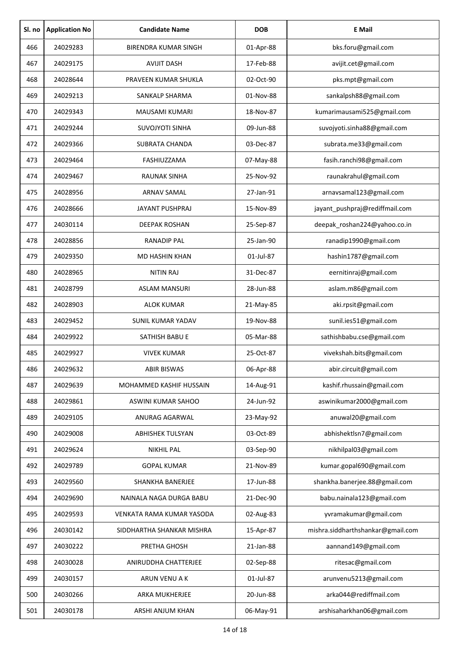| Sl. no | <b>Application No</b> | <b>Candidate Name</b>       | <b>DOB</b> | <b>E</b> Mail                     |
|--------|-----------------------|-----------------------------|------------|-----------------------------------|
| 466    | 24029283              | <b>BIRENDRA KUMAR SINGH</b> | 01-Apr-88  | bks.foru@gmail.com                |
| 467    | 24029175              | <b>AVIJIT DASH</b>          | 17-Feb-88  | avijit.cet@gmail.com              |
| 468    | 24028644              | PRAVEEN KUMAR SHUKLA        | 02-Oct-90  | pks.mpt@gmail.com                 |
| 469    | 24029213              | SANKALP SHARMA              | 01-Nov-88  | sankalpsh88@gmail.com             |
| 470    | 24029343              | MAUSAMI KUMARI              | 18-Nov-87  | kumarimausami525@gmail.com        |
| 471    | 24029244              | <b>SUVOJYOTI SINHA</b>      | 09-Jun-88  | suvojyoti.sinha88@gmail.com       |
| 472    | 24029366              | <b>SUBRATA CHANDA</b>       | 03-Dec-87  | subrata.me33@gmail.com            |
| 473    | 24029464              | FASHIUZZAMA                 | 07-May-88  | fasih.ranchi98@gmail.com          |
| 474    | 24029467              | <b>RAUNAK SINHA</b>         | 25-Nov-92  | raunakrahul@gmail.com             |
| 475    | 24028956              | ARNAV SAMAL                 | 27-Jan-91  | arnavsamal123@gmail.com           |
| 476    | 24028666              | <b>JAYANT PUSHPRAJ</b>      | 15-Nov-89  | jayant_pushpraj@rediffmail.com    |
| 477    | 24030114              | <b>DEEPAK ROSHAN</b>        | 25-Sep-87  | deepak_roshan224@yahoo.co.in      |
| 478    | 24028856              | <b>RANADIP PAL</b>          | 25-Jan-90  | ranadip1990@gmail.com             |
| 479    | 24029350              | MD HASHIN KHAN              | 01-Jul-87  | hashin1787@gmail.com              |
| 480    | 24028965              | <b>NITIN RAJ</b>            | 31-Dec-87  | eernitinraj@gmail.com             |
| 481    | 24028799              | <b>ASLAM MANSURI</b>        | 28-Jun-88  | aslam.m86@gmail.com               |
| 482    | 24028903              | <b>ALOK KUMAR</b>           | 21-May-85  | aki.rpsit@gmail.com               |
| 483    | 24029452              | <b>SUNIL KUMAR YADAV</b>    | 19-Nov-88  | sunil.ies51@gmail.com             |
| 484    | 24029922              | SATHISH BABU E              | 05-Mar-88  | sathishbabu.cse@gmail.com         |
| 485    | 24029927              | <b>VIVEK KUMAR</b>          | 25-Oct-87  | vivekshah.bits@gmail.com          |
| 486    | 24029632              | ABIR BISWAS                 | 06-Apr-88  | abir.circuit@gmail.com            |
| 487    | 24029639              | MOHAMMED KASHIF HUSSAIN     | 14-Aug-91  | kashif.rhussain@gmail.com         |
| 488    | 24029861              | ASWINI KUMAR SAHOO          | 24-Jun-92  | aswinikumar2000@gmail.com         |
| 489    | 24029105              | ANURAG AGARWAL              | 23-May-92  | anuwal20@gmail.com                |
| 490    | 24029008              | ABHISHEK TULSYAN            | 03-Oct-89  | abhishektlsn7@gmail.com           |
| 491    | 24029624              | <b>NIKHIL PAL</b>           | 03-Sep-90  | nikhilpal03@gmail.com             |
| 492    | 24029789              | <b>GOPAL KUMAR</b>          | 21-Nov-89  | kumar.gopal690@gmail.com          |
| 493    | 24029560              | SHANKHA BANERJEE            | 17-Jun-88  | shankha.banerjee.88@gmail.com     |
| 494    | 24029690              | NAINALA NAGA DURGA BABU     | 21-Dec-90  | babu.nainala123@gmail.com         |
| 495    | 24029593              | VENKATA RAMA KUMAR YASODA   | 02-Aug-83  | yvramakumar@gmail.com             |
| 496    | 24030142              | SIDDHARTHA SHANKAR MISHRA   | 15-Apr-87  | mishra.siddharthshankar@gmail.com |
| 497    | 24030222              | PRETHA GHOSH                | 21-Jan-88  | aannand149@gmail.com              |
| 498    | 24030028              | ANIRUDDHA CHATTERJEE        | 02-Sep-88  | ritesac@gmail.com                 |
| 499    | 24030157              | ARUN VENU A K               | 01-Jul-87  | arunvenu5213@gmail.com            |
| 500    | 24030266              | ARKA MUKHERJEE              | 20-Jun-88  | arka044@rediffmail.com            |
| 501    | 24030178              | ARSHI ANJUM KHAN            | 06-May-91  | arshisaharkhan06@gmail.com        |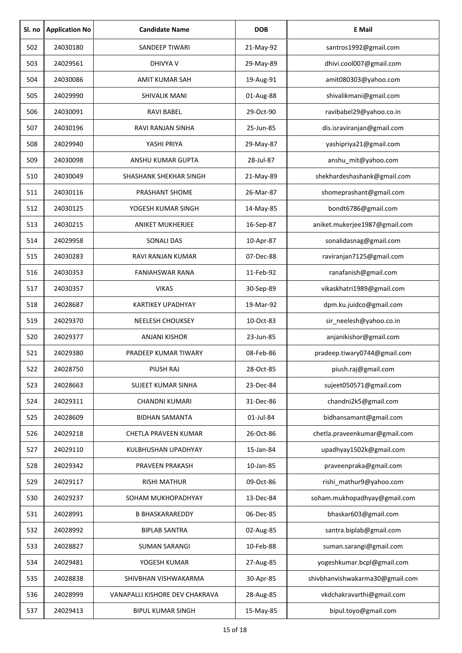| Sl. no | <b>Application No</b> | <b>Candidate Name</b>          | <b>DOB</b> | <b>E</b> Mail                   |
|--------|-----------------------|--------------------------------|------------|---------------------------------|
| 502    | 24030180              | <b>SANDEEP TIWARI</b>          | 21-May-92  | santros1992@gmail.com           |
| 503    | 24029561              | <b>DHIVYA V</b>                | 29-May-89  | dhivi.cool007@gmail.com         |
| 504    | 24030086              | <b>AMIT KUMAR SAH</b>          | 19-Aug-91  | amit080303@yahoo.com            |
| 505    | 24029990              | <b>SHIVALIK MANI</b>           | 01-Aug-88  | shivalikmani@gmail.com          |
| 506    | 24030091              | <b>RAVI BABEL</b>              | 29-Oct-90  | ravibabel29@yahoo.co.in         |
| 507    | 24030196              | RAVI RANJAN SINHA              | 25-Jun-85  | dis.israviranjan@gmail.com      |
| 508    | 24029940              | YASHI PRIYA                    | 29-May-87  | yashipriya21@gmail.com          |
| 509    | 24030098              | ANSHU KUMAR GUPTA              | 28-Jul-87  | anshu_mit@yahoo.com             |
| 510    | 24030049              | SHASHANK SHEKHAR SINGH         | 21-May-89  | shekhardeshashank@gmail.com     |
| 511    | 24030116              | PRASHANT SHOME                 | 26-Mar-87  | shomeprashant@gmail.com         |
| 512    | 24030125              | YOGESH KUMAR SINGH             | 14-May-85  | bondt6786@gmail.com             |
| 513    | 24030215              | <b>ANIKET MUKHERJEE</b>        | 16-Sep-87  | aniket.mukerjee1987@gmail.com   |
| 514    | 24029958              | SONALI DAS                     | 10-Apr-87  | sonalidasnag@gmail.com          |
| 515    | 24030283              | RAVI RANJAN KUMAR              | 07-Dec-88  | raviranjan7125@gmail.com        |
| 516    | 24030353              | <b>FANIAHSWAR RANA</b>         | 11-Feb-92  | ranafanish@gmail.com            |
| 517    | 24030357              | <b>VIKAS</b>                   | 30-Sep-89  | vikaskhatri1989@gmail.com       |
| 518    | 24028687              | <b>KARTIKEY UPADHYAY</b>       | 19-Mar-92  | dpm.ku.juidco@gmail.com         |
| 519    | 24029370              | NEELESH CHOUKSEY               | 10-Oct-83  | sir_neelesh@yahoo.co.in         |
| 520    | 24029377              | <b>ANJANI KISHOR</b>           | 23-Jun-85  | anjanikishor@gmail.com          |
| 521    | 24029380              | PRADEEP KUMAR TIWARY           | 08-Feb-86  | pradeep.tiwary0744@gmail.com    |
| 522    | 24028750              | PIUSH RAJ                      | 28-Oct-85  | piush.raj@gmail.com             |
| 523    | 24028663              | <b>SUJEET KUMAR SINHA</b>      | 23-Dec-84  | sujeet050571@gmail.com          |
| 524    | 24029311              | <b>CHANDNI KUMARI</b>          | 31-Dec-86  | chandni2k5@gmail.com            |
| 525    | 24028609              | <b>BIDHAN SAMANTA</b>          | 01-Jul-84  | bidhansamant@gmail.com          |
| 526    | 24029218              | CHETLA PRAVEEN KUMAR           | 26-Oct-86  | chetla.praveenkumar@gmail.com   |
| 527    | 24029110              | KULBHUSHAN UPADHYAY            | 15-Jan-84  | upadhyay1502k@gmail.com         |
| 528    | 24029342              | PRAVEEN PRAKASH                | 10-Jan-85  | praveenpraka@gmail.com          |
| 529    | 24029117              | <b>RISHI MATHUR</b>            | 09-Oct-86  | rishi_mathur9@yahoo.com         |
| 530    | 24029237              | SOHAM MUKHOPADHYAY             | 13-Dec-84  | soham.mukhopadhyay@gmail.com    |
| 531    | 24028991              | <b>B BHASKARAREDDY</b>         | 06-Dec-85  | bhaskar603@gmail.com            |
| 532    | 24028992              | <b>BIPLAB SANTRA</b>           | 02-Aug-85  | santra.biplab@gmail.com         |
| 533    | 24028827              | <b>SUMAN SARANGI</b>           | 10-Feb-88  | suman.sarangi@gmail.com         |
| 534    | 24029481              | YOGESH KUMAR                   | 27-Aug-85  | yogeshkumar.bcpl@gmail.com      |
| 535    | 24028838              | SHIVBHAN VISHWAKARMA           | 30-Apr-85  | shivbhanvishwakarma30@gmail.com |
| 536    | 24028999              | VANAPALLI KISHORE DEV CHAKRAVA | 28-Aug-85  | vkdchakravarthi@gmail.com       |
| 537    | 24029413              | <b>BIPUL KUMAR SINGH</b>       | 15-May-85  | bipul.toyo@gmail.com            |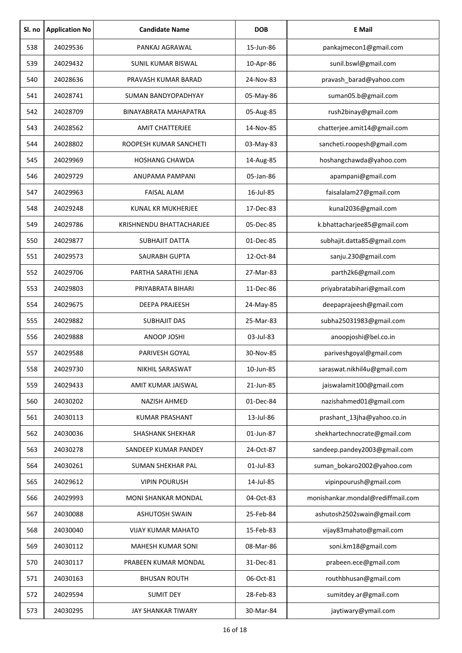| Sl. no | <b>Application No</b> | <b>Candidate Name</b>        | <b>DOB</b> | <b>E</b> Mail                     |
|--------|-----------------------|------------------------------|------------|-----------------------------------|
| 538    | 24029536              | PANKAJ AGRAWAL               | 15-Jun-86  | pankajmecon1@gmail.com            |
| 539    | 24029432              | SUNIL KUMAR BISWAL           | 10-Apr-86  | sunil.bswl@gmail.com              |
| 540    | 24028636              | PRAVASH KUMAR BARAD          | 24-Nov-83  | pravash_barad@yahoo.com           |
| 541    | 24028741              | SUMAN BANDYOPADHYAY          | 05-May-86  | suman05.b@gmail.com               |
| 542    | 24028709              | <b>BINAYABRATA MAHAPATRA</b> | 05-Aug-85  | rush2binay@gmail.com              |
| 543    | 24028562              | <b>AMIT CHATTERJEE</b>       | 14-Nov-85  | chatterjee.amit14@gmail.com       |
| 544    | 24028802              | ROOPESH KUMAR SANCHETI       | 03-May-83  | sancheti.roopesh@gmail.com        |
| 545    | 24029969              | <b>HOSHANG CHAWDA</b>        | 14-Aug-85  | hoshangchawda@yahoo.com           |
| 546    | 24029729              | ANUPAMA PAMPANI              | 05-Jan-86  | apampani@gmail.com                |
| 547    | 24029963              | <b>FAISAL ALAM</b>           | 16-Jul-85  | faisalalam27@gmail.com            |
| 548    | 24029248              | <b>KUNAL KR MUKHERJEE</b>    | 17-Dec-83  | kunal2036@gmail.com               |
| 549    | 24029786              | KRISHNENDU BHATTACHARJEE     | 05-Dec-85  | k.bhattacharjee85@gmail.com       |
| 550    | 24029877              | <b>SUBHAJIT DATTA</b>        | 01-Dec-85  | subhajit.datta85@gmail.com        |
| 551    | 24029573              | <b>SAURABH GUPTA</b>         | 12-Oct-84  | sanju.230@gmail.com               |
| 552    | 24029706              | PARTHA SARATHI JENA          | 27-Mar-83  | parth2k6@gmail.com                |
| 553    | 24029803              | PRIYABRATA BIHARI            | 11-Dec-86  | priyabratabihari@gmail.com        |
| 554    | 24029675              | <b>DEEPA PRAJEESH</b>        | 24-May-85  | deepaprajeesh@gmail.com           |
| 555    | 24029882              | <b>SUBHAJIT DAS</b>          | 25-Mar-83  | subha25031983@gmail.com           |
| 556    | 24029888              | ANOOP JOSHI                  | 03-Jul-83  | anoopjoshi@bel.co.in              |
| 557    | 24029588              | <b>PARIVESH GOYAL</b>        | 30-Nov-85  | pariveshgoyal@gmail.com           |
| 558    | 24029730              | NIKHIL SARASWAT              | 10-Jun-85  | saraswat.nikhil4u@gmail.com       |
| 559    | 24029433              | AMIT KUMAR JAISWAL           | 21-Jun-85  | jaiswalamit100@gmail.com          |
| 560    | 24030202              | NAZISH AHMED                 | 01-Dec-84  | nazishahmed01@gmail.com           |
| 561    | 24030113              | KUMAR PRASHANT               | 13-Jul-86  | prashant_13jha@yahoo.co.in        |
| 562    | 24030036              | <b>SHASHANK SHEKHAR</b>      | 01-Jun-87  | shekhartechnocrate@gmail.com      |
| 563    | 24030278              | SANDEEP KUMAR PANDEY         | 24-Oct-87  | sandeep.pandey2003@gmail.com      |
| 564    | 24030261              | SUMAN SHEKHAR PAL            | 01-Jul-83  | suman_bokaro2002@yahoo.com        |
| 565    | 24029612              | <b>VIPIN POURUSH</b>         | 14-Jul-85  | vipinpourush@gmail.com            |
| 566    | 24029993              | MONI SHANKAR MONDAL          | 04-Oct-83  | monishankar.mondal@rediffmail.com |
| 567    | 24030088              | <b>ASHUTOSH SWAIN</b>        | 25-Feb-84  | ashutosh2502swain@gmail.com       |
| 568    | 24030040              | <b>VIJAY KUMAR MAHATO</b>    | 15-Feb-83  | vijay83mahato@gmail.com           |
| 569    | 24030112              | <b>MAHESH KUMAR SONI</b>     | 08-Mar-86  | soni.km18@gmail.com               |
| 570    | 24030117              | PRABEEN KUMAR MONDAL         | 31-Dec-81  | prabeen.ece@gmail.com             |
| 571    | 24030163              | <b>BHUSAN ROUTH</b>          | 06-Oct-81  | routhbhusan@gmail.com             |
| 572    | 24029594              | <b>SUMIT DEY</b>             | 28-Feb-83  | sumitdey.ar@gmail.com             |
| 573    | 24030295              | JAY SHANKAR TIWARY           | 30-Mar-84  | jaytiwary@ymail.com               |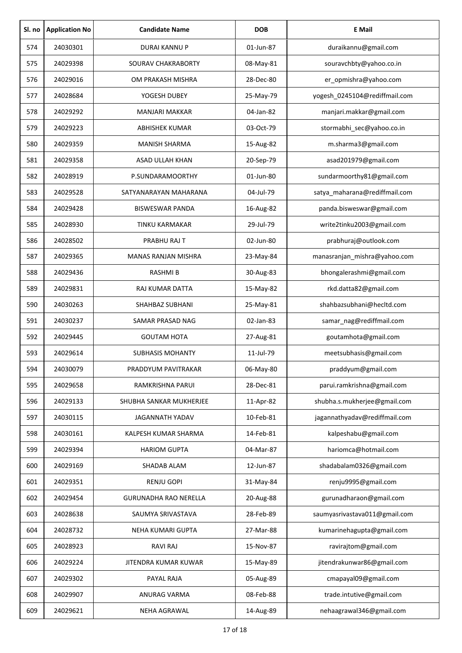| Sl. no | <b>Application No</b> | <b>Candidate Name</b>        | <b>DOB</b> | <b>E</b> Mail                 |
|--------|-----------------------|------------------------------|------------|-------------------------------|
| 574    | 24030301              | DURAI KANNU P                | 01-Jun-87  | duraikannu@gmail.com          |
| 575    | 24029398              | SOURAV CHAKRABORTY           | 08-May-81  | souravchbty@yahoo.co.in       |
| 576    | 24029016              | OM PRAKASH MISHRA            | 28-Dec-80  | er_opmishra@yahoo.com         |
| 577    | 24028684              | YOGESH DUBEY                 | 25-May-79  | yogesh_0245104@rediffmail.com |
| 578    | 24029292              | <b>MANJARI MAKKAR</b>        | 04-Jan-82  | manjari.makkar@gmail.com      |
| 579    | 24029223              | <b>ABHISHEK KUMAR</b>        | 03-Oct-79  | stormabhi_sec@yahoo.co.in     |
| 580    | 24029359              | <b>MANISH SHARMA</b>         | 15-Aug-82  | m.sharma3@gmail.com           |
| 581    | 24029358              | ASAD ULLAH KHAN              | 20-Sep-79  | asad201979@gmail.com          |
| 582    | 24028919              | P.SUNDARAMOORTHY             | 01-Jun-80  | sundarmoorthy81@gmail.com     |
| 583    | 24029528              | SATYANARAYAN MAHARANA        | 04-Jul-79  | satya_maharana@rediffmail.com |
| 584    | 24029428              | <b>BISWESWAR PANDA</b>       | 16-Aug-82  | panda.bisweswar@gmail.com     |
| 585    | 24028930              | <b>TINKU KARMAKAR</b>        | 29-Jul-79  | write2tinku2003@gmail.com     |
| 586    | 24028502              | PRABHU RAJ T                 | 02-Jun-80  | prabhuraj@outlook.com         |
| 587    | 24029365              | <b>MANAS RANJAN MISHRA</b>   | 23-May-84  | manasranjan_mishra@yahoo.com  |
| 588    | 24029436              | <b>RASHMIB</b>               | 30-Aug-83  | bhongalerashmi@gmail.com      |
| 589    | 24029831              | RAJ KUMAR DATTA              | 15-May-82  | rkd.datta82@gmail.com         |
| 590    | 24030263              | SHAHBAZ SUBHANI              | 25-May-81  | shahbazsubhani@hecltd.com     |
| 591    | 24030237              | SAMAR PRASAD NAG             | 02-Jan-83  | samar_nag@rediffmail.com      |
| 592    | 24029445              | <b>GOUTAM HOTA</b>           | 27-Aug-81  | goutamhota@gmail.com          |
| 593    | 24029614              | <b>SUBHASIS MOHANTY</b>      | 11-Jul-79  | meetsubhasis@gmail.com        |
| 594    | 24030079              | PRADDYUM PAVITRAKAR          | 06-May-80  | praddyum@gmail.com            |
| 595    | 24029658              | RAMKRISHNA PARUI             | 28-Dec-81  | parui.ramkrishna@gmail.com    |
| 596    | 24029133              | SHUBHA SANKAR MUKHERJEE      | 11-Apr-82  | shubha.s.mukherjee@gmail.com  |
| 597    | 24030115              | <b>JAGANNATH YADAV</b>       | 10-Feb-81  | jagannathyadav@rediffmail.com |
| 598    | 24030161              | KALPESH KUMAR SHARMA         | 14-Feb-81  | kalpeshabu@gmail.com          |
| 599    | 24029394              | <b>HARIOM GUPTA</b>          | 04-Mar-87  | hariomca@hotmail.com          |
| 600    | 24029169              | SHADAB ALAM                  | 12-Jun-87  | shadabalam0326@gmail.com      |
| 601    | 24029351              | <b>RENJU GOPI</b>            | 31-May-84  | renju9995@gmail.com           |
| 602    | 24029454              | <b>GURUNADHA RAO NERELLA</b> | 20-Aug-88  | gurunadharaon@gmail.com       |
| 603    | 24028638              | SAUMYA SRIVASTAVA            | 28-Feb-89  | saumyasrivastava011@gmail.com |
| 604    | 24028732              | NEHA KUMARI GUPTA            | 27-Mar-88  | kumarinehagupta@gmail.com     |
| 605    | 24028923              | <b>RAVI RAJ</b>              | 15-Nov-87  | ravirajtom@gmail.com          |
| 606    | 24029224              | JITENDRA KUMAR KUWAR         | 15-May-89  | jitendrakunwar86@gmail.com    |
| 607    | 24029302              | PAYAL RAJA                   | 05-Aug-89  | cmapayal09@gmail.com          |
| 608    | 24029907              | ANURAG VARMA                 | 08-Feb-88  | trade.intutive@gmail.com      |
| 609    | 24029621              | NEHA AGRAWAL                 | 14-Aug-89  | nehaagrawal346@gmail.com      |